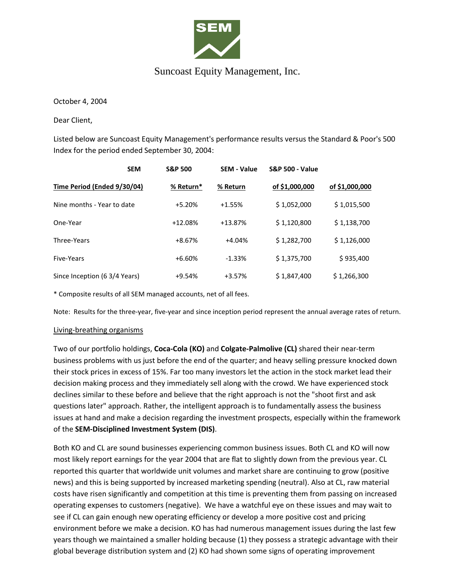

## Suncoast Equity Management, Inc.

October 4, 2004

Dear Client,

Listed below are Suncoast Equity Management's performance results versus the Standard & Poor's 500 Index for the period ended September 30, 2004:

| <b>SEM</b>                    | <b>S&amp;P 500</b> | <b>SEM - Value</b> | <b>S&amp;P 500 - Value</b> |                |
|-------------------------------|--------------------|--------------------|----------------------------|----------------|
| Time Period (Ended 9/30/04)   | % Return*          | % Return           | of \$1,000,000             | of \$1,000,000 |
| Nine months - Year to date    | $+5.20%$           | $+1.55%$           | \$1,052,000                | \$1,015,500    |
| One-Year                      | $+12.08%$          | $+13.87%$          | \$1,120,800                | \$1,138,700    |
| Three-Years                   | $+8.67%$           | $+4.04%$           | \$1,282,700                | \$1,126,000    |
| Five-Years                    | $+6.60%$           | $-1.33%$           | \$1,375,700                | \$935,400      |
| Since Inception (6 3/4 Years) | $+9.54%$           | $+3.57%$           | \$1,847,400                | \$1,266,300    |

\* Composite results of all SEM managed accounts, net of all fees.

Note: Results for the three-year, five-year and since inception period represent the annual average rates of return.

## Living-breathing organisms

Two of our portfolio holdings, **Coca-Cola (KO)** and **Colgate-Palmolive (CL)** shared their near-term business problems with us just before the end of the quarter; and heavy selling pressure knocked down their stock prices in excess of 15%. Far too many investors let the action in the stock market lead their decision making process and they immediately sell along with the crowd. We have experienced stock declines similar to these before and believe that the right approach is not the "shoot first and ask questions later" approach. Rather, the intelligent approach is to fundamentally assess the business issues at hand and make a decision regarding the investment prospects, especially within the framework of the **SEM-Disciplined Investment System (DIS)**.

Both KO and CL are sound businesses experiencing common business issues. Both CL and KO will now most likely report earnings for the year 2004 that are flat to slightly down from the previous year. CL reported this quarter that worldwide unit volumes and market share are continuing to grow (positive news) and this is being supported by increased marketing spending (neutral). Also at CL, raw material costs have risen significantly and competition at this time is preventing them from passing on increased operating expenses to customers (negative). We have a watchful eye on these issues and may wait to see if CL can gain enough new operating efficiency or develop a more positive cost and pricing environment before we make a decision. KO has had numerous management issues during the last few years though we maintained a smaller holding because (1) they possess a strategic advantage with their global beverage distribution system and (2) KO had shown some signs of operating improvement